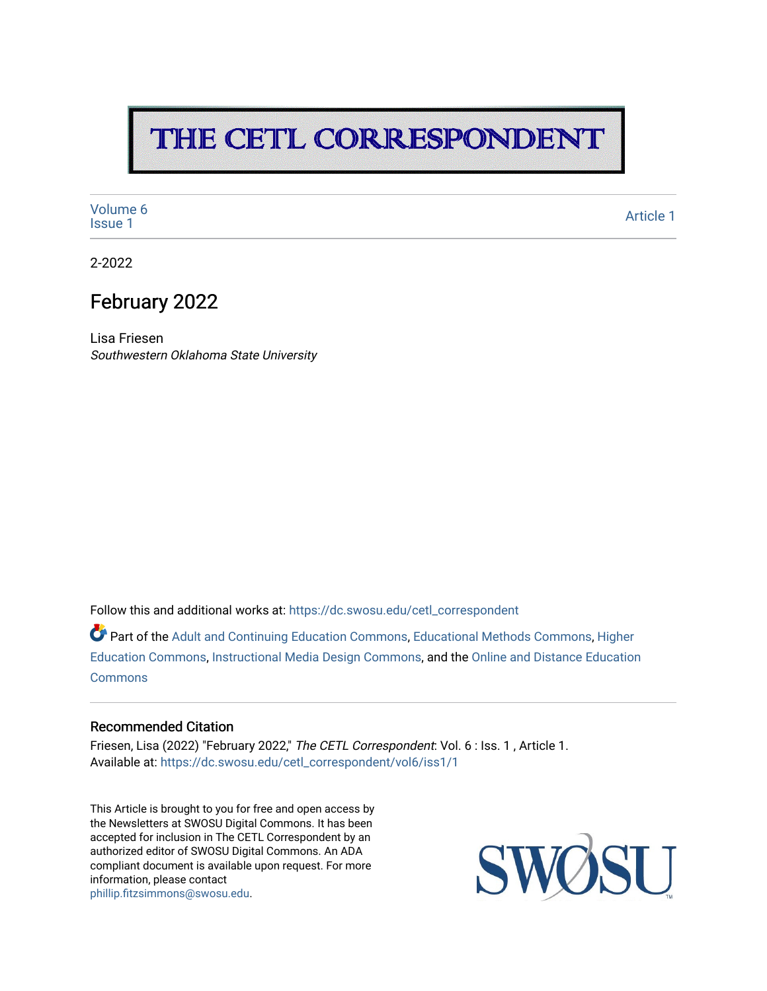## THE CETL CORRESPONDENT

[Volume 6](https://dc.swosu.edu/cetl_correspondent/vol6)<br>Issue 1 volume of the contract of the contract of the contract of the contract of the contract of the contract of the contract of the contract of the contract of the contract of the contract of the contract of the contract of the

2-2022

### February 2022

Lisa Friesen Southwestern Oklahoma State University

Follow this and additional works at: [https://dc.swosu.edu/cetl\\_correspondent](https://dc.swosu.edu/cetl_correspondent?utm_source=dc.swosu.edu%2Fcetl_correspondent%2Fvol6%2Fiss1%2F1&utm_medium=PDF&utm_campaign=PDFCoverPages)

Part of the [Adult and Continuing Education Commons,](http://network.bepress.com/hgg/discipline/1375?utm_source=dc.swosu.edu%2Fcetl_correspondent%2Fvol6%2Fiss1%2F1&utm_medium=PDF&utm_campaign=PDFCoverPages) [Educational Methods Commons,](http://network.bepress.com/hgg/discipline/1227?utm_source=dc.swosu.edu%2Fcetl_correspondent%2Fvol6%2Fiss1%2F1&utm_medium=PDF&utm_campaign=PDFCoverPages) [Higher](http://network.bepress.com/hgg/discipline/1245?utm_source=dc.swosu.edu%2Fcetl_correspondent%2Fvol6%2Fiss1%2F1&utm_medium=PDF&utm_campaign=PDFCoverPages) [Education Commons,](http://network.bepress.com/hgg/discipline/1245?utm_source=dc.swosu.edu%2Fcetl_correspondent%2Fvol6%2Fiss1%2F1&utm_medium=PDF&utm_campaign=PDFCoverPages) [Instructional Media Design Commons,](http://network.bepress.com/hgg/discipline/795?utm_source=dc.swosu.edu%2Fcetl_correspondent%2Fvol6%2Fiss1%2F1&utm_medium=PDF&utm_campaign=PDFCoverPages) and the [Online and Distance Education](http://network.bepress.com/hgg/discipline/1296?utm_source=dc.swosu.edu%2Fcetl_correspondent%2Fvol6%2Fiss1%2F1&utm_medium=PDF&utm_campaign=PDFCoverPages)  **[Commons](http://network.bepress.com/hgg/discipline/1296?utm_source=dc.swosu.edu%2Fcetl_correspondent%2Fvol6%2Fiss1%2F1&utm_medium=PDF&utm_campaign=PDFCoverPages)** 

#### Recommended Citation

Friesen, Lisa (2022) "February 2022," The CETL Correspondent: Vol. 6 : Iss. 1 , Article 1. Available at: [https://dc.swosu.edu/cetl\\_correspondent/vol6/iss1/1](https://dc.swosu.edu/cetl_correspondent/vol6/iss1/1?utm_source=dc.swosu.edu%2Fcetl_correspondent%2Fvol6%2Fiss1%2F1&utm_medium=PDF&utm_campaign=PDFCoverPages) 

This Article is brought to you for free and open access by the Newsletters at SWOSU Digital Commons. It has been accepted for inclusion in The CETL Correspondent by an authorized editor of SWOSU Digital Commons. An ADA compliant document is available upon request. For more information, please contact [phillip.fitzsimmons@swosu.edu](mailto:phillip.fitzsimmons@swosu.edu).

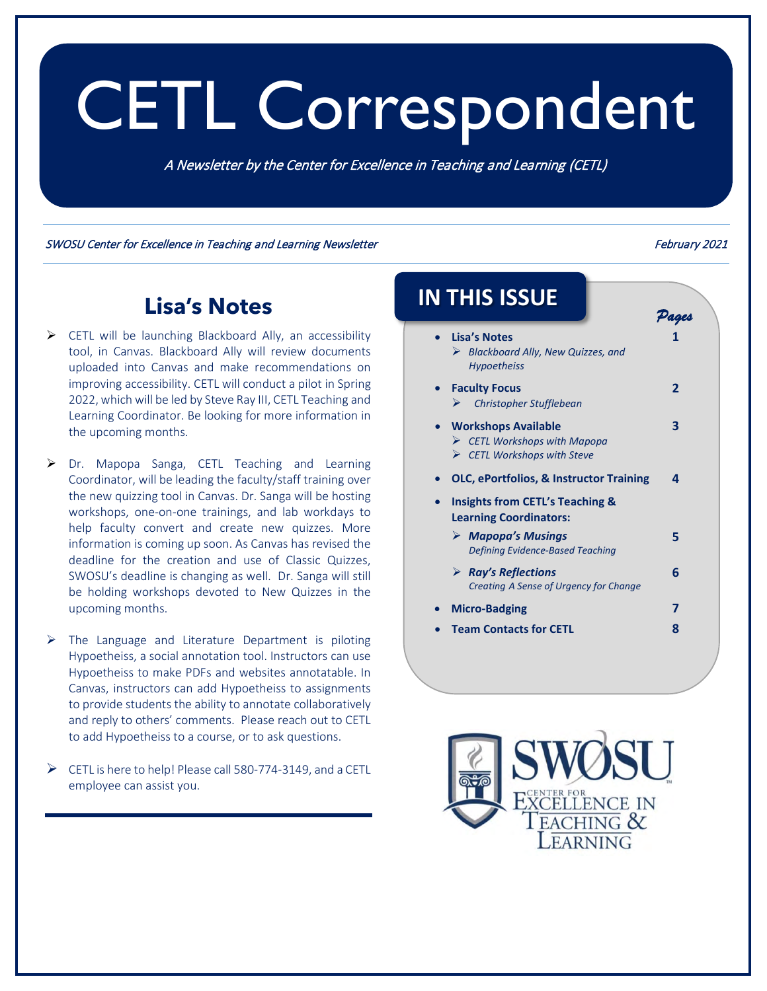# CETL Correspondent

A Newsletter by the Center for Excellence in Teaching and Learning (CETL)

SWOSU Center for Excellence in Teaching and Learning Newsletter February 2021

*Pages* 

### **Lisa's Notes**

- $\triangleright$  CETL will be launching Blackboard Ally, an accessibility tool, in Canvas. Blackboard Ally will review documents uploaded into Canvas and make recommendations on improving accessibility. CETL will conduct a pilot in Spring 2022, which will be led by Steve Ray III, CETL Teaching and Learning Coordinator. Be looking for more information in the upcoming months.
- ▶ Dr. Mapopa Sanga, CETL Teaching and Learning Coordinator, will be leading the faculty/staff training over the new quizzing tool in Canvas. Dr. Sanga will be hosting workshops, one-on-one trainings, and lab workdays to help faculty convert and create new quizzes. More information is coming up soon. As Canvas has revised the deadline for the creation and use of Classic Quizzes, SWOSU's deadline is changing as well. Dr. Sanga will still be holding workshops devoted to New Quizzes in the upcoming months.
- $\triangleright$  The Language and Literature Department is piloting Hypoetheiss, a social annotation tool. Instructors can use Hypoetheiss to make PDFs and websites annotatable. In Canvas, instructors can add Hypoetheiss to assignments to provide students the ability to annotate collaboratively and reply to others' comments. Please reach out to CETL to add Hypoetheiss to a course, or to ask questions.
- $\triangleright$  CETL is here to help! Please call 580-774-3149, and a CETL employee can assist you.

# **IN THIS ISSUE**

• **Lisa's Notes** *Blackboard Ally, New Quizzes, and Hypoetheiss* **1**  • **[Faculty Focus](#page-2-0)** *Christopher Stufflebean* **2**  • **[Workshops Available](#page-3-0)** *CETL Workshops with Mapopa CETL Workshops with Steve* **3**  • **[OLC, ePortfolios, & Instructor Training](#page-4-0) 4**  • **Insights from CETL's Teaching & Learning Coordinators:** *[Mapopa's Musings](#page-5-0) Defining Evidence-Based Teaching* **5**  *[Ray's Reflections](#page-6-0) Creating A Sense of Urgency for Change* **6**  • **[Micro-Badging](#page-7-0) 7**  • **[Team Contacts for CETL](#page-8-0) 8** 

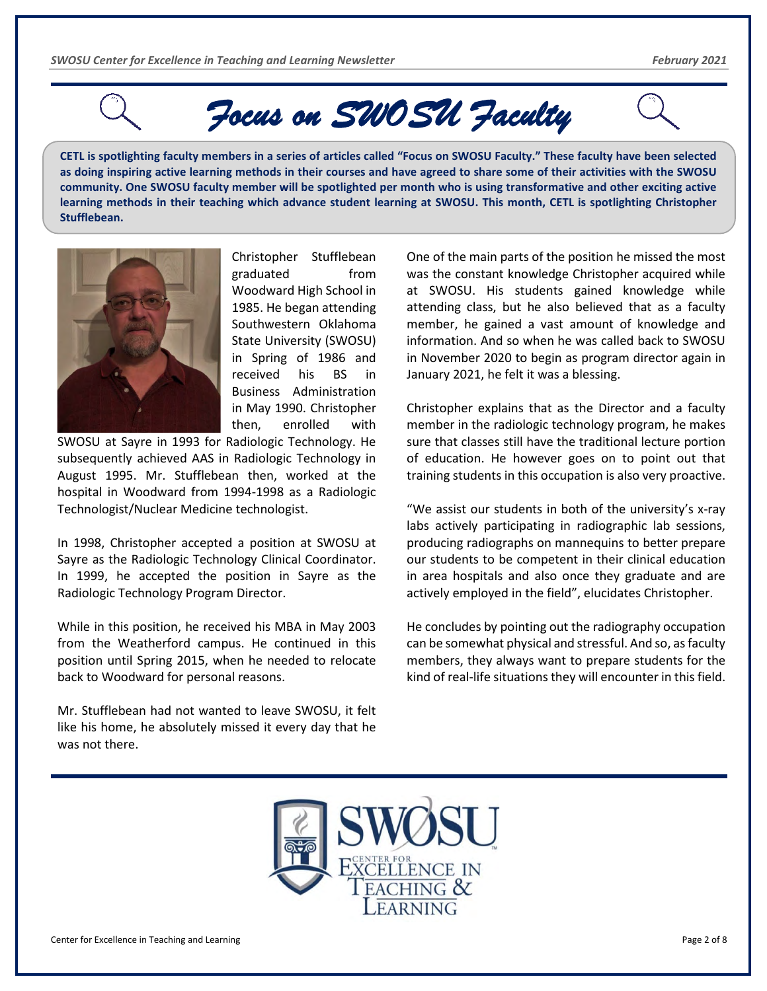<span id="page-2-0"></span>

*Focus on SWOSU Faculty* 

**CETL is spotlighting faculty members in a series of articles called "Focus on SWOSU Faculty." These faculty have been selected as doing inspiring active learning methods in their courses and have agreed to share some of their activities with the SWOSU community. One SWOSU faculty member will be spotlighted per month who is using transformative and other exciting active learning methods in their teaching which advance student learning at SWOSU. This month, CETL is spotlighting Christopher Stufflebean.** 



Christopher Stufflebean graduated from Woodward High School in 1985. He began attending Southwestern Oklahoma State University (SWOSU) in Spring of 1986 and received his BS in Business Administration in May 1990. Christopher then, enrolled with

SWOSU at Sayre in 1993 for Radiologic Technology. He subsequently achieved AAS in Radiologic Technology in August 1995. Mr. Stufflebean then, worked at the hospital in Woodward from 1994-1998 as a Radiologic Technologist/Nuclear Medicine technologist.

In 1998, Christopher accepted a position at SWOSU at Sayre as the Radiologic Technology Clinical Coordinator. In 1999, he accepted the position in Sayre as the Radiologic Technology Program Director.

While in this position, he received his MBA in May 2003 from the Weatherford campus. He continued in this position until Spring 2015, when he needed to relocate back to Woodward for personal reasons.

Mr. Stufflebean had not wanted to leave SWOSU, it felt like his home, he absolutely missed it every day that he was not there.

One of the main parts of the position he missed the most was the constant knowledge Christopher acquired while at SWOSU. His students gained knowledge while attending class, but he also believed that as a faculty member, he gained a vast amount of knowledge and information. And so when he was called back to SWOSU in November 2020 to begin as program director again in January 2021, he felt it was a blessing.

Christopher explains that as the Director and a faculty member in the radiologic technology program, he makes sure that classes still have the traditional lecture portion of education. He however goes on to point out that training students in this occupation is also very proactive.

"We assist our students in both of the university's x-ray labs actively participating in radiographic lab sessions, producing radiographs on mannequins to better prepare our students to be competent in their clinical education in area hospitals and also once they graduate and are actively employed in the field", elucidates Christopher.

He concludes by pointing out the radiography occupation can be somewhat physical and stressful. And so, as faculty members, they always want to prepare students for the kind of real-life situations they will encounter in this field.

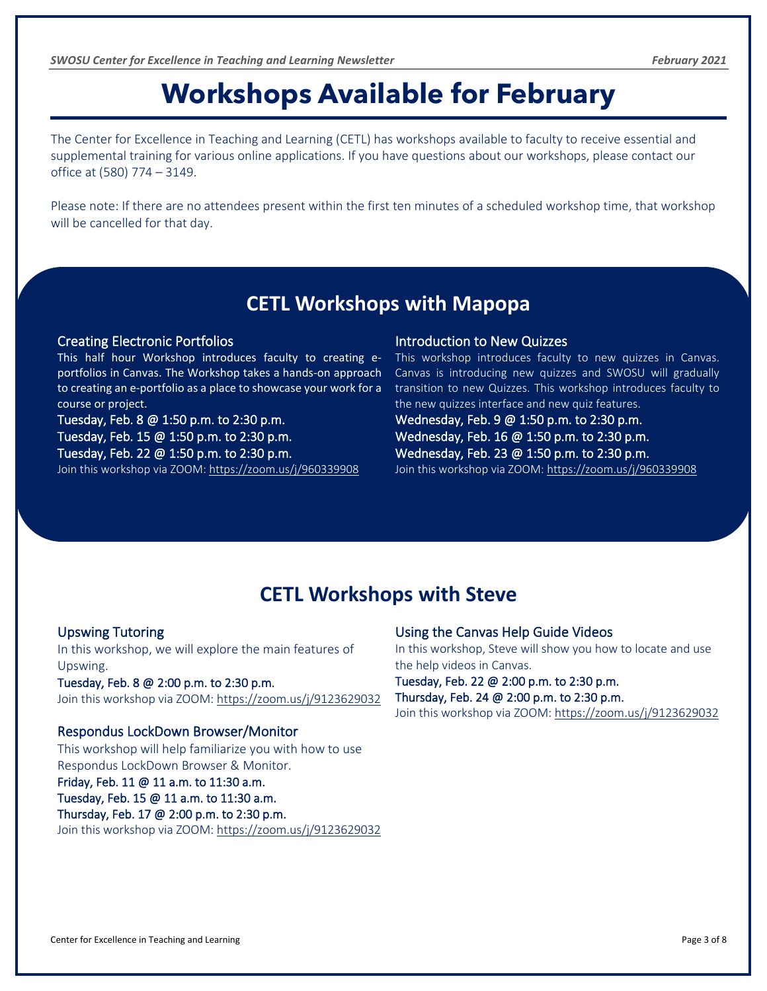### **Workshops Available for February**

<span id="page-3-0"></span>The Center for Excellence in Teaching and Learning (CETL) has workshops available to faculty to receive essential and supplemental training for various online applications. If you have questions about our workshops, please contact our office at (580) 774 – 3149.

Please note: If there are no attendees present within the first ten minutes of a scheduled workshop time, that workshop will be cancelled for that day.

### **CETL Workshops with Mapopa**

#### Creating Electronic Portfolios

This half hour Workshop introduces faculty to creating eportfolios in Canvas. The Workshop takes a hands-on approach to creating an e-portfolio as a place to showcase your work for a course or project.

Tuesday, Feb. 8 @ 1:50 p.m. to 2:30 p.m. Tuesday, Feb. 15 @ 1:50 p.m. to 2:30 p.m. Tuesday, Feb. 22 @ 1:50 p.m. to 2:30 p.m. Join this workshop via ZOOM: <https://zoom.us/j/960339908>

#### Introduction to New Quizzes

This workshop introduces faculty to new quizzes in Canvas. Canvas is introducing new quizzes and SWOSU will gradually transition to new Quizzes. This workshop introduces faculty to the new quizzes interface and new quiz features.

Wednesday, Feb. 9 @ 1:50 p.m. to 2:30 p.m. Wednesday, Feb. 16 @ 1:50 p.m. to 2:30 p.m. Wednesday, Feb. 23 @ 1:50 p.m. to 2:30 p.m. Join this workshop via ZOOM: <https://zoom.us/j/960339908>

### **CETL Workshops with Steve**

#### Upswing Tutoring

In this workshop, we will explore the main features of Upswing. Tuesday, Feb. 8 @ 2:00 p.m. to 2:30 p.m. Join this workshop via ZOOM:<https://zoom.us/j/9123629032>

#### Respondus LockDown Browser/Monitor

This workshop will help familiarize you with how to use Respondus LockDown Browser & Monitor.

#### Friday, Feb. 11 @ 11 a.m. to 11:30 a.m. Tuesday, Feb. 15 @ 11 a.m. to 11:30 a.m. Thursday, Feb. 17 @ 2:00 p.m. to 2:30 p.m. Join this workshop via ZOOM: <https://zoom.us/j/9123629032>

#### Using the Canvas Help Guide Videos

In this workshop, Steve will show you how to locate and use the help videos in Canvas.

Tuesday, Feb. 22 @ 2:00 p.m. to 2:30 p.m. Thursday, Feb. 24 @ 2:00 p.m. to 2:30 p.m. Join this workshop via ZOOM:<https://zoom.us/j/9123629032>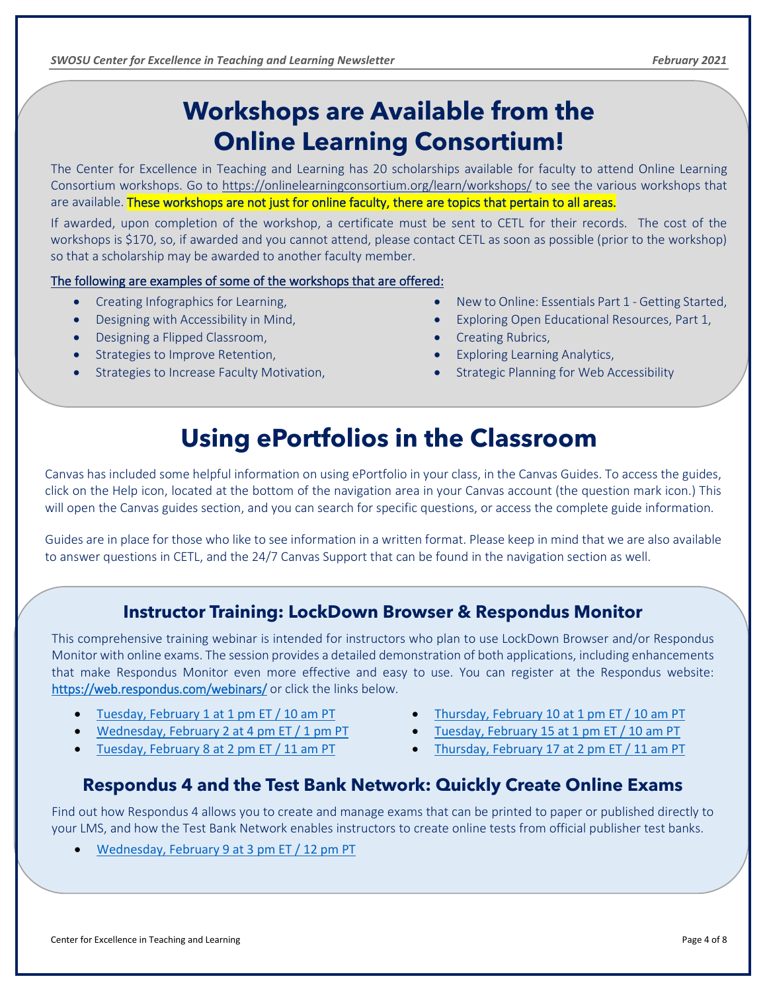### **Workshops are Available from the Online Learning Consortium!**

The Center for Excellence in Teaching and Learning has 20 scholarships available for faculty to attend Online Learning Consortium workshops. Go to <https://onlinelearningconsortium.org/learn/workshops/> to see the various workshops that are available. These workshops are not just for online faculty, there are topics that pertain to all areas.

If awarded, upon completion of the workshop, a certificate must be sent to CETL for their records. The cost of the workshops is \$170, so, if awarded and you cannot attend, please contact CETL as soon as possible (prior to the workshop) so that a scholarship may be awarded to another faculty member.

#### The following are examples of some of the workshops that are offered:

- Creating Infographics for Learning,
- Designing with Accessibility in Mind,
- Designing a Flipped Classroom,

<span id="page-4-0"></span>

- Strategies to Improve Retention,
- Strategies to Increase Faculty Motivation,
- New to Online: Essentials Part 1 Getting Started,
- Exploring Open Educational Resources, Part 1,
- Creating Rubrics,
- Exploring Learning Analytics,
- Strategic Planning for Web Accessibility

### **Using ePortfolios in the Classroom**

Canvas has included some helpful information on using ePortfolio in your class, in the Canvas Guides. To access the guides, click on the Help icon, located at the bottom of the navigation area in your Canvas account (the question mark icon.) This will open the Canvas guides section, and you can search for specific questions, or access the complete guide information.

Guides are in place for those who like to see information in a written format. Please keep in mind that we are also available to answer questions in CETL, and the 24/7 Canvas Support that can be found in the navigation section as well.

### **Instructor Training: LockDown Browser & Respondus Monitor**

This comprehensive training webinar is intended for instructors who plan to use LockDown Browser and/or Respondus Monitor with online exams. The session provides a detailed demonstration of both applications, including enhancements that make Respondus Monitor even more effective and easy to use. You can register at the Respondus website: <https://web.respondus.com/webinars/> or click the links below.

- [Tuesday, February 1 at 1 pm ET / 10 am PT](https://attendee.gotowebinar.com/register/1372495496584775180)
- [Wednesday, February 2 at 4 pm ET / 1 pm PT](https://attendee.gotowebinar.com/register/3619790611198182667)
- [Tuesday, February 8 at 2 pm ET / 11 am PT](https://attendee.gotowebinar.com/register/5140055652107889166)
- [Thursday, February 10 at 1](https://attendee.gotowebinar.com/register/7597591683602731532) pm ET / 10 am PT
- [Tuesday, February 15 at 1 pm ET / 10 am PT](https://attendee.gotowebinar.com/register/7499635093308334859)
- [Thursday, February 17 at 2 pm ET / 11 am PT](https://attendee.gotowebinar.com/register/3328002215618963470)

### **Respondus 4 and the Test Bank Network: Quickly Create Online Exams**

Find out how Respondus 4 allows you to create and manage exams that can be printed to paper or published directly to your LMS, and how the Test Bank Network enables instructors to create online tests from official publisher test banks.

• [Wednesday, February 9 at 3 pm ET / 12 pm PT](https://attendee.gotowebinar.com/register/793350836464014604)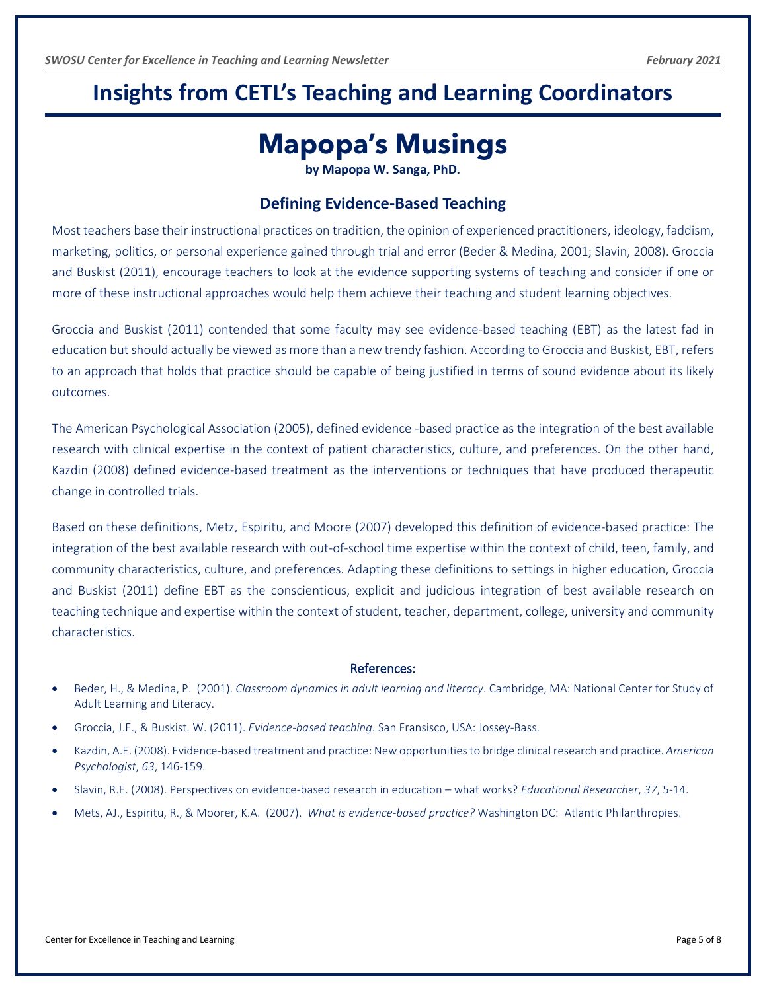### <span id="page-5-0"></span>**Insights from CETL's Teaching and Learning Coordinators**

### **Mapopa's Musings**

**by Mapopa W. Sanga, PhD.**

#### **Defining Evidence-Based Teaching**

Most teachers base their instructional practices on tradition, the opinion of experienced practitioners, ideology, faddism, marketing, politics, or personal experience gained through trial and error (Beder & Medina, 2001; Slavin, 2008). Groccia and Buskist (2011), encourage teachers to look at the evidence supporting systems of teaching and consider if one or more of these instructional approaches would help them achieve their teaching and student learning objectives.

Groccia and Buskist (2011) contended that some faculty may see evidence-based teaching (EBT) as the latest fad in education but should actually be viewed as more than a new trendy fashion. According to Groccia and Buskist, EBT, refers to an approach that holds that practice should be capable of being justified in terms of sound evidence about its likely outcomes.

The American Psychological Association (2005), defined evidence -based practice as the integration of the best available research with clinical expertise in the context of patient characteristics, culture, and preferences. On the other hand, Kazdin (2008) defined evidence-based treatment as the interventions or techniques that have produced therapeutic change in controlled trials.

Based on these definitions, Metz, Espiritu, and Moore (2007) developed this definition of evidence-based practice: The integration of the best available research with out-of-school time expertise within the context of child, teen, family, and community characteristics, culture, and preferences. Adapting these definitions to settings in higher education, Groccia and Buskist (2011) define EBT as the conscientious, explicit and judicious integration of best available research on teaching technique and expertise within the context of student, teacher, department, college, university and community characteristics.

#### References:

- Beder, H., & Medina, P. (2001). *Classroom dynamics in adult learning and literacy*. Cambridge, MA: National Center for Study of Adult Learning and Literacy.
- Groccia, J.E., & Buskist. W. (2011). *Evidence-based teaching*. San Fransisco, USA: Jossey-Bass.
- Kazdin, A.E. (2008). Evidence-based treatment and practice: New opportunities to bridge clinical research and practice. *American Psychologist*, *63*, 146-159.
- Slavin, R.E. (2008). Perspectives on evidence-based research in education what works? *Educational Researcher*, *37*, 5-14.
- Mets, AJ., Espiritu, R., & Moorer, K.A. (2007). *What is evidence-based practice?* Washington DC: Atlantic Philanthropies.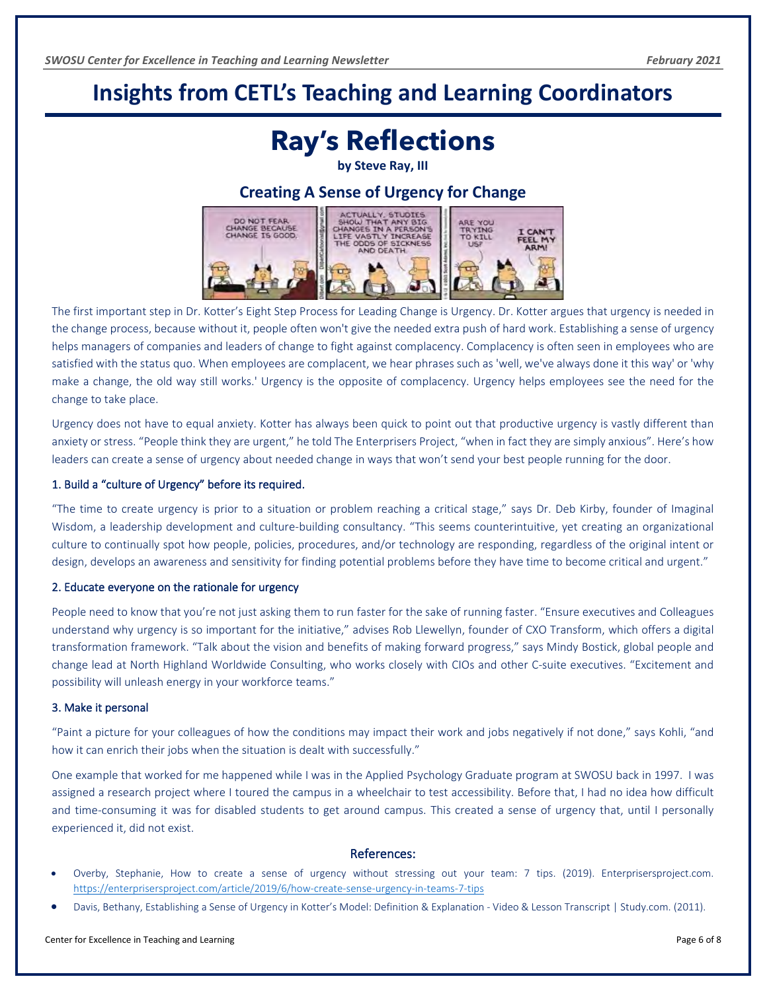### <span id="page-6-0"></span>**Insights from CETL's Teaching and Learning Coordinators**

### **Ray's Reflections**

**by Steve Ray, III**

#### **Creating A Sense of Urgency for Change**



The first important step in Dr. Kotter's Eight Step Process for Leading Change is Urgency. Dr. Kotter argues that urgency is needed in the change process, because without it, people often won't give the needed extra push of hard work. Establishing a sense of urgency helps managers of companies and leaders of change to fight against complacency. Complacency is often seen in employees who are satisfied with the status quo. When employees are complacent, we hear phrases such as 'well, we've always done it this way' or 'why make a change, the old way still works.' Urgency is the opposite of complacency. Urgency helps employees see the need for the change to take place.

Urgency does not have to equal anxiety. Kotter has always been quick to point out that productive urgency is vastly different than anxiety or stress. "People think they are urgent," he told The Enterprisers Project, "when in fact they are simply anxious". Here's how leaders can create a sense of urgency about needed change in ways that won't send your best people running for the door.

#### 1. Build a "culture of Urgency" before its required.

"The time to create urgency is prior to a situation or problem reaching a critical stage," says Dr. Deb Kirby, founder of Imaginal Wisdom, a leadership development and culture-building consultancy. "This seems counterintuitive, yet creating an organizational culture to continually spot how people, policies, procedures, and/or technology are responding, regardless of the original intent or design, develops an awareness and sensitivity for finding potential problems before they have time to become critical and urgent."

#### 2. Educate everyone on the rationale for urgency

People need to know that you're not just asking them to run faster for the sake of running faster. "Ensure executives and Colleagues understand why urgency is so important for the initiative," advises Rob Llewellyn, founder of CXO Transform, which offers a digital transformation framework. "Talk about the vision and benefits of making forward progress," says Mindy Bostick, global people and change lead at North Highland Worldwide Consulting, who works closely with CIOs and other C-suite executives. "Excitement and possibility will unleash energy in your workforce teams."

#### 3. Make it personal

"Paint a picture for your colleagues of how the conditions may impact their work and jobs negatively if not done," says Kohli, "and how it can enrich their jobs when the situation is dealt with successfully."

One example that worked for me happened while I was in the Applied Psychology Graduate program at SWOSU back in 1997. I was assigned a research project where I toured the campus in a wheelchair to test accessibility. Before that, I had no idea how difficult and time-consuming it was for disabled students to get around campus. This created a sense of urgency that, until I personally experienced it, did not exist.

#### References:

- Overby, Stephanie, How to create a sense of urgency without stressing out your team: 7 tips. (2019). Enterprisersproject.com. <https://enterprisersproject.com/article/2019/6/how-create-sense-urgency-in-teams-7-tips>
- Davis, Bethany, Establishing a Sense of Urgency in Kotter's Model: Definition & Explanation Video & Lesson Transcript | Study.com. (2011).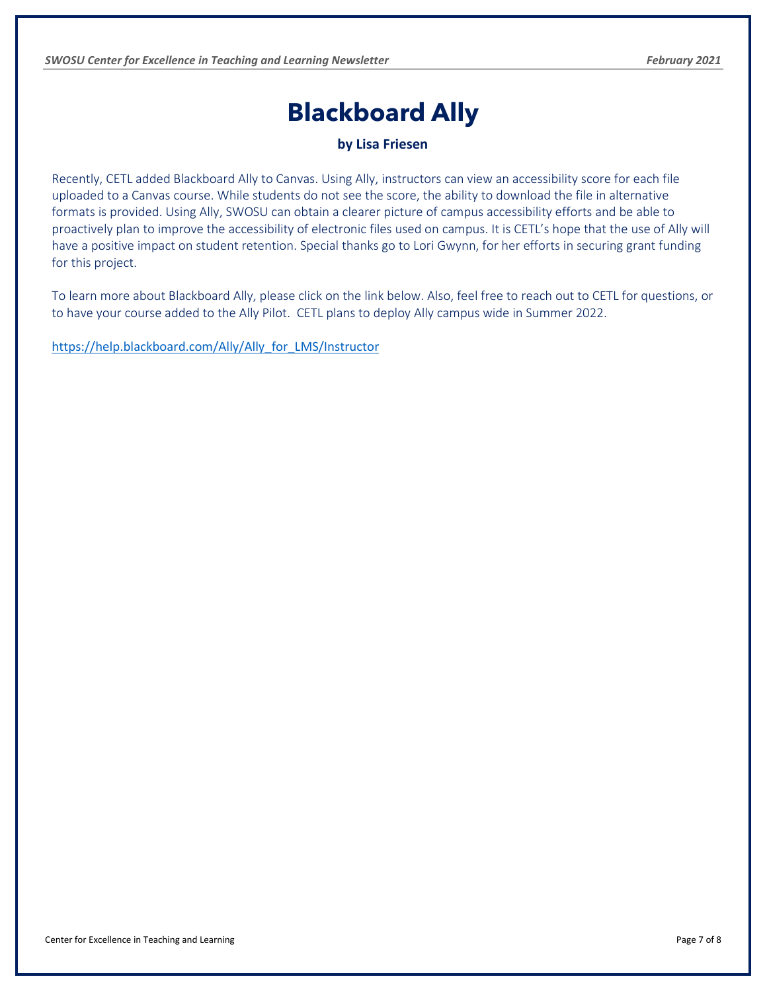### **Blackboard Ally**

**by Lisa Friesen**

<span id="page-7-0"></span>Recently, CETL added Blackboard Ally to Canvas. Using Ally, instructors can view an accessibility score for each file uploaded to a Canvas course. While students do not see the score, the ability to download the file in alternative formats is provided. Using Ally, SWOSU can obtain a clearer picture of campus accessibility efforts and be able to proactively plan to improve the accessibility of electronic files used on campus. It is CETL's hope that the use of Ally will have a positive impact on student retention. Special thanks go to Lori Gwynn, for her efforts in securing grant funding for this project.

To learn more about Blackboard Ally, please click on the link below. Also, feel free to reach out to CETL for questions, or to have your course added to the Ally Pilot. CETL plans to deploy Ally campus wide in Summer 2022.

[https://help.blackboard.com/Ally/Ally\\_for\\_LMS/Instructor](https://help.blackboard.com/Ally/Ally_for_LMS/Instructor)